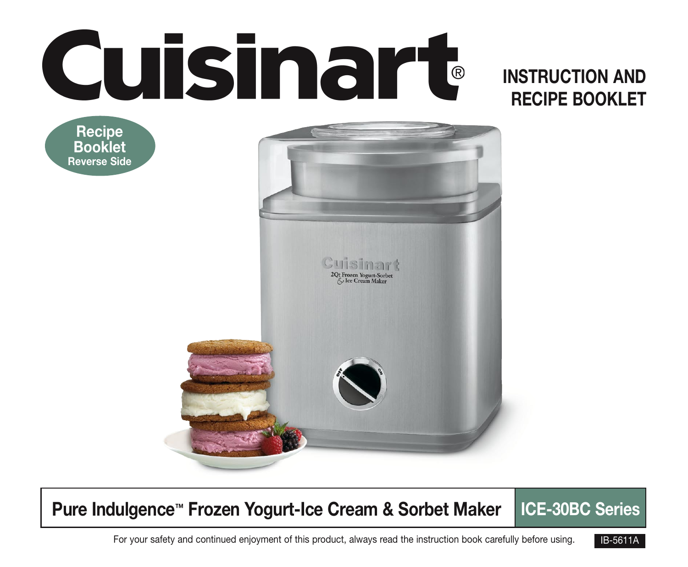# **Cuisinart**

## INSTRUCTION AND RECIPE BOOKLET

**Recipe** Booklet Reverse Side



## Pure Indulgence™ Frozen Yogurt-Ice Cream & Sorbet Maker | ICE-30BC Series

For your safety and continued enjoyment of this product, always read the instruction book carefully before using. **IB-5611A** 

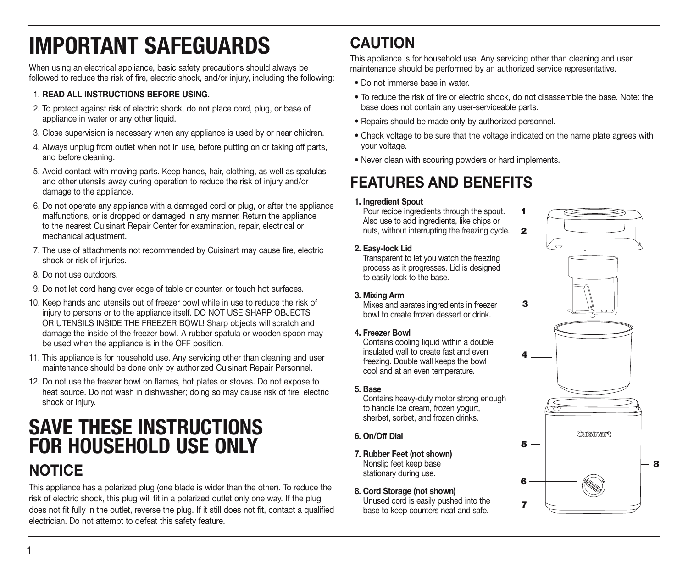# IMPORTANT SAFEGUARDS

When using an electrical appliance, basic safety precautions should always be followed to reduce the risk of fire, electric shock, and/or injury, including the following:

#### 1. READ ALL INSTRUCTIONS BEFORE USING.

- 2. To protect against risk of electric shock, do not place cord, plug, or base of appliance in water or any other liquid.
- 3. Close supervision is necessary when any appliance is used by or near children.
- 4. Always unplug from outlet when not in use, before putting on or taking off parts, and before cleaning.
- 5. Avoid contact with moving parts. Keep hands, hair, clothing, as well as spatulas and other utensils away during operation to reduce the risk of injury and/or damage to the appliance.
- 6. Do not operate any appliance with a damaged cord or plug, or after the appliance malfunctions, or is dropped or damaged in any manner. Return the appliance to the nearest Cuisinart Repair Center for examination, repair, electrical or mechanical adjustment.
- 7. The use of attachments not recommended by Cuisinart may cause fire, electric shock or risk of injuries.
- 8. Do not use outdoors.
- 9. Do not let cord hang over edge of table or counter, or touch hot surfaces.
- 10. Keep hands and utensils out of freezer bowl while in use to reduce the risk of injury to persons or to the appliance itself. DO NOT USE SHARP OBJECTS OR UTENSILS INSIDE THE FREEZER BOWL! Sharp objects will scratch and damage the inside of the freezer bowl. A rubber spatula or wooden spoon may be used when the appliance is in the OFF position.
- 11. This appliance is for household use. Any servicing other than cleaning and user maintenance should be done only by authorized Cuisinart Repair Personnel.
- 12. Do not use the freezer bowl on flames, hot plates or stoves. Do not expose to heat source. Do not wash in dishwasher; doing so may cause risk of fire, electric shock or injury.

## SAVE THESE INSTRUCTIONS FOR HOUSEHOLD USE ONLY NOTICE

#### This appliance has a polarized plug (one blade is wider than the other). To reduce the risk of electric shock, this plug will fit in a polarized outlet only one way. If the plug does not fit fully in the outlet, reverse the plug. If it still does not fit, contact a qualified electrician. Do not attempt to defeat this safety feature.

## **CAUTION**

This appliance is for household use. Any servicing other than cleaning and user maintenance should be performed by an authorized service representative.

- Do not immerse base in water.
- To reduce the risk of fire or electric shock, do not disassemble the base. Note: the base does not contain any user-serviceable parts.
- Repairs should be made only by authorized personnel.
- Check voltage to be sure that the voltage indicated on the name plate agrees with your voltage.
- Never clean with scouring powders or hard implements.

## FEATURES AND BENEFITS

#### 1. Ingredient Spout

Pour recipe ingredients through the spout. Also use to add ingredients, like chips or nuts, without interrupting the freezing cycle.

#### 2. Easy-lock Lid

Transparent to let you watch the freezing process as it progresses. Lid is designed to easily lock to the base.

#### 3. Mixing Arm

Mixes and aerates ingredients in freezer bowl to create frozen dessert or drink.

4. Freezer Bowl

Contains cooling liquid within a double insulated wall to create fast and even freezing. Double wall keeps the bowl cool and at an even temperature.

#### 5. Base

Contains heavy-duty motor strong enough to handle ice cream, frozen yogurt, sherbet, sorbet, and frozen drinks.

- 6. On/Off Dial
- 7. Rubber Feet (not shown) Nonslip feet keep base stationary during use.
- 8. Cord Storage (not shown) Unused cord is easily pushed into the base to keep counters neat and safe.

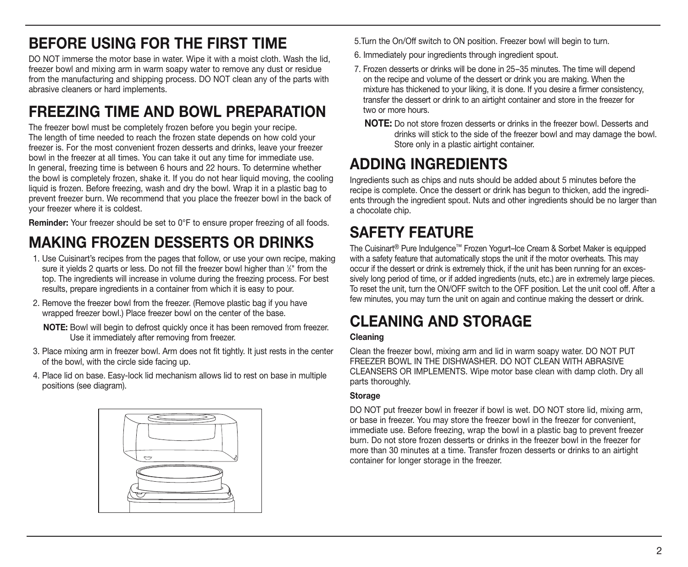## BEFORE USING FOR THE FIRST TIME

DO NOT immerse the motor base in water. Wipe it with a moist cloth. Wash the lid, freezer bowl and mixing arm in warm soapy water to remove any dust or residue from the manufacturing and shipping process. DO NOT clean any of the parts with abrasive cleaners or hard implements.

## FREEZING TIME AND BOWL PREPARATION

The freezer bowl must be completely frozen before you begin your recipe. The length of time needed to reach the frozen state depends on how cold your freezer is. For the most convenient frozen desserts and drinks, leave your freezer bowl in the freezer at all times. You can take it out any time for immediate use. In general, freezing time is between 6 hours and 22 hours. To determine whether the bowl is completely frozen, shake it. If you do not hear liquid moving, the cooling liquid is frozen. Before freezing, wash and dry the bowl. Wrap it in a plastic bag to prevent freezer burn. We recommend that you place the freezer bowl in the back of your freezer where it is coldest.

Reminder: Your freezer should be set to 0°F to ensure proper freezing of all foods.

## MAKING FROZEN DESSERTS OR DRINKS

- 1. Use Cuisinart's recipes from the pages that follow, or use your own recipe, making sure it yields 2 quarts or less. Do not fill the freezer bowl higher than  $\Sigma$ " from the top. The ingredients will increase in volume during the freezing process. For best results, prepare ingredients in a container from which it is easy to pour.
- 2. Remove the freezer bowl from the freezer. (Remove plastic bag if you have wrapped freezer bowl.) Place freezer bowl on the center of the base.

NOTE: Bowl will begin to defrost quickly once it has been removed from freezer. Use it immediately after removing from freezer.

- 3. Place mixing arm in freezer bowl. Arm does not fit tightly. It just rests in the center of the bowl, with the circle side facing up.
- 4. Place lid on base. Easy-lock lid mechanism allows lid to rest on base in multiple positions (see diagram).



5.Turn the On/Off switch to ON position. Freezer bowl will begin to turn.

- 6. Immediately pour ingredients through ingredient spout.
- 7. Frozen desserts or drinks will be done in 25–35 minutes. The time will depend on the recipe and volume of the dessert or drink you are making. When the mixture has thickened to your liking, it is done. If you desire a firmer consistency, transfer the dessert or drink to an airtight container and store in the freezer for two or more hours.
	- NOTE: Do not store frozen desserts or drinks in the freezer bowl. Desserts and drinks will stick to the side of the freezer bowl and may damage the bowl. Store only in a plastic airtight container.

#### ADDING INGREDIENTS

Ingredients such as chips and nuts should be added about 5 minutes before the recipe is complete. Once the dessert or drink has begun to thicken, add the ingredients through the ingredient spout. Nuts and other ingredients should be no larger than a chocolate chip.

## SAFETY FEATURE

The Cuisinart® Pure Indulgence™ Frozen Yogurt–Ice Cream & Sorbet Maker is equipped with a safety feature that automatically stops the unit if the motor overheats. This may occur if the dessert or drink is extremely thick, if the unit has been running for an excessively long period of time, or if added ingredients (nuts, etc.) are in extremely large pieces. To reset the unit, turn the ON/OFF switch to the OFF position. Let the unit cool off. After a few minutes, you may turn the unit on again and continue making the dessert or drink.

## CI FANING AND STORAGF

#### Cleaning

Clean the freezer bowl, mixing arm and lid in warm soapy water. DO NOT PUT FREEZER BOWL IN THE DISHWASHER. DO NOT CLEAN WITH ABRASIVE CLEANSERS OR IMPLEMENTS. Wipe motor base clean with damp cloth. Dry all parts thoroughly.

#### **Storage**

DO NOT put freezer bowl in freezer if bowl is wet. DO NOT store lid, mixing arm, or base in freezer. You may store the freezer bowl in the freezer for convenient, immediate use. Before freezing, wrap the bowl in a plastic bag to prevent freezer burn. Do not store frozen desserts or drinks in the freezer bowl in the freezer for more than 30 minutes at a time. Transfer frozen desserts or drinks to an airtight container for longer storage in the freezer.